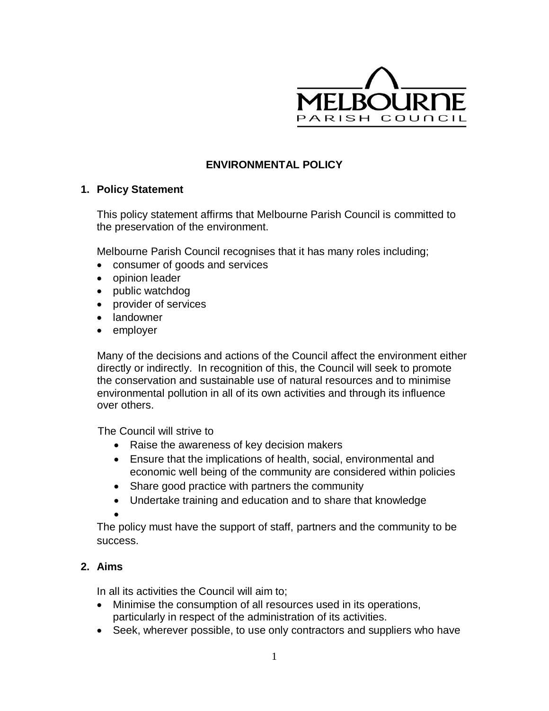

# **ENVIRONMENTAL POLICY**

#### **1. Policy Statement**

This policy statement affirms that Melbourne Parish Council is committed to the preservation of the environment.

Melbourne Parish Council recognises that it has many roles including;

- consumer of goods and services
- opinion leader
- public watchdog
- provider of services
- landowner
- employer

Many of the decisions and actions of the Council affect the environment either directly or indirectly. In recognition of this, the Council will seek to promote the conservation and sustainable use of natural resources and to minimise environmental pollution in all of its own activities and through its influence over others.

The Council will strive to

- Raise the awareness of key decision makers
- Ensure that the implications of health, social, environmental and economic well being of the community are considered within policies
- Share good practice with partners the community
- Undertake training and education and to share that knowledge
- $\bullet$

The policy must have the support of staff, partners and the community to be success.

# **2. Aims**

In all its activities the Council will aim to;

- Minimise the consumption of all resources used in its operations, particularly in respect of the administration of its activities.
- Seek, wherever possible, to use only contractors and suppliers who have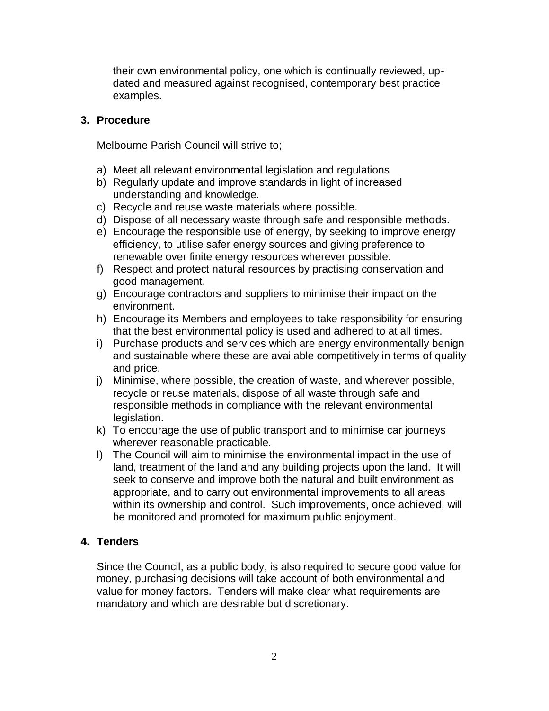their own environmental policy, one which is continually reviewed, updated and measured against recognised, contemporary best practice examples.

### **3. Procedure**

Melbourne Parish Council will strive to;

- a) Meet all relevant environmental legislation and regulations
- b) Regularly update and improve standards in light of increased understanding and knowledge.
- c) Recycle and reuse waste materials where possible.
- d) Dispose of all necessary waste through safe and responsible methods.
- e) Encourage the responsible use of energy, by seeking to improve energy efficiency, to utilise safer energy sources and giving preference to renewable over finite energy resources wherever possible.
- f) Respect and protect natural resources by practising conservation and good management.
- g) Encourage contractors and suppliers to minimise their impact on the environment.
- h) Encourage its Members and employees to take responsibility for ensuring that the best environmental policy is used and adhered to at all times.
- i) Purchase products and services which are energy environmentally benign and sustainable where these are available competitively in terms of quality and price.
- j) Minimise, where possible, the creation of waste, and wherever possible, recycle or reuse materials, dispose of all waste through safe and responsible methods in compliance with the relevant environmental legislation.
- k) To encourage the use of public transport and to minimise car journeys wherever reasonable practicable.
- l) The Council will aim to minimise the environmental impact in the use of land, treatment of the land and any building projects upon the land. It will seek to conserve and improve both the natural and built environment as appropriate, and to carry out environmental improvements to all areas within its ownership and control. Such improvements, once achieved, will be monitored and promoted for maximum public enjoyment.

# **4. Tenders**

Since the Council, as a public body, is also required to secure good value for money, purchasing decisions will take account of both environmental and value for money factors. Tenders will make clear what requirements are mandatory and which are desirable but discretionary.